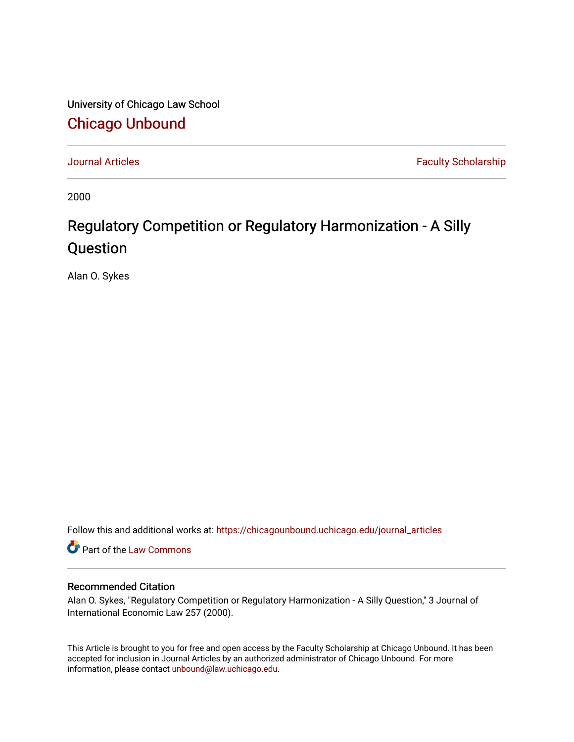University of Chicago Law School [Chicago Unbound](https://chicagounbound.uchicago.edu/)

[Journal Articles](https://chicagounbound.uchicago.edu/journal_articles) **Faculty Scholarship Journal Articles** 

2000

# Regulatory Competition or Regulatory Harmonization - A Silly Question

Alan O. Sykes

Follow this and additional works at: [https://chicagounbound.uchicago.edu/journal\\_articles](https://chicagounbound.uchicago.edu/journal_articles?utm_source=chicagounbound.uchicago.edu%2Fjournal_articles%2F9789&utm_medium=PDF&utm_campaign=PDFCoverPages) 

Part of the [Law Commons](http://network.bepress.com/hgg/discipline/578?utm_source=chicagounbound.uchicago.edu%2Fjournal_articles%2F9789&utm_medium=PDF&utm_campaign=PDFCoverPages)

# Recommended Citation

Alan O. Sykes, "Regulatory Competition or Regulatory Harmonization - A Silly Question," 3 Journal of International Economic Law 257 (2000).

This Article is brought to you for free and open access by the Faculty Scholarship at Chicago Unbound. It has been accepted for inclusion in Journal Articles by an authorized administrator of Chicago Unbound. For more information, please contact [unbound@law.uchicago.edu](mailto:unbound@law.uchicago.edu).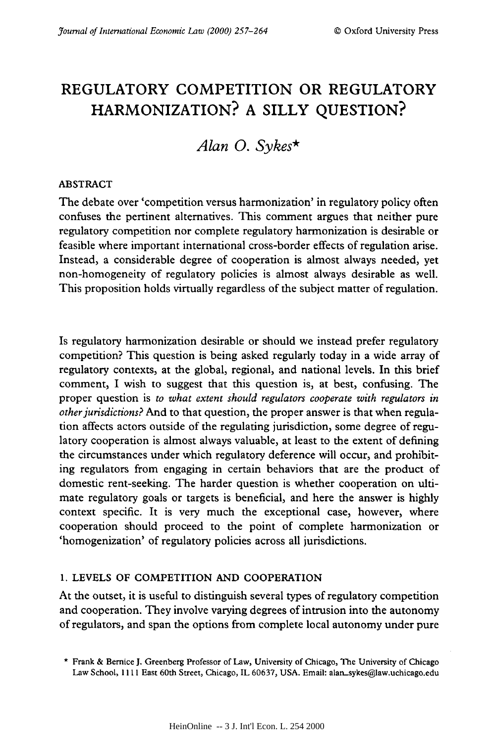# **REGULATORY COMPETITION OR REGULATORY HARMONIZATION? A SILLY QUESTION?**

# *Alan 0. Sykes\**

#### ABSTRACT

The debate over 'competition versus harmonization' in regulatory policy often confuses the pertinent alternatives. This comment argues that neither pure regulatory competition nor complete regulatory harmonization is desirable or feasible where important international cross-border effects of regulation arise. Instead, a considerable degree of cooperation is almost always needed, yet non-homogeneity of regulatory policies is almost always desirable as well. This proposition holds virtually regardless of the subject matter of regulation.

Is regulatory harmonization desirable or should we instead prefer regulatory competition? This question is being asked regularly today in a wide array of regulatory contexts, at the global, regional, and national levels. In this brief comment, I wish to suggest that this question is, at best, confusing. The proper question is *to what extent should regulators cooperate with regulators in other jurisdictions?* And to that question, the proper answer is that when regulation affects actors outside of the regulating jurisdiction, some degree of regulatory cooperation is almost always valuable, at least to the extent of defining the circumstances under which regulatory deference will occur, and prohibiting regulators from engaging in certain behaviors that are the product of domestic rent-seeking. The harder question is whether cooperation on ultimate regulatory goals or targets is beneficial, and here the answer is highly context specific. It is very much the exceptional case, however, where cooperation should proceed to the point of complete harmonization or 'homogenization' of regulatory policies across all jurisdictions.

#### 1. LEVELS OF COMPETITION AND COOPERATION

At the outset, it is useful to distinguish several types of regulatory competition and cooperation. They involve varying degrees of intrusion into the autonomy of regulators, and span the options from complete local autonomy under pure

<sup>\*</sup> Frank & Bernice **J.** Greenberg Professor of Law, University of Chicago, The University of Chicago Law School, 1111 East 60th Street, Chicago, IL 60637, USA. Email: alan-sykes@law.uchicago.edu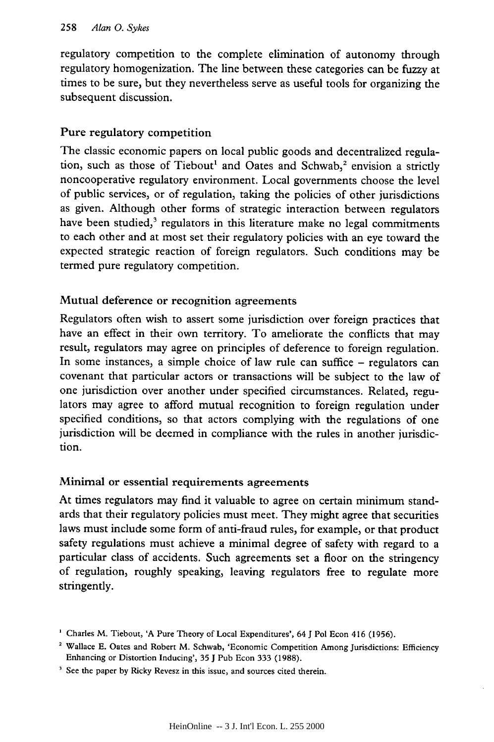regulatory competition to the complete elimination of autonomy through regulatory homogenization. The line between these categories can be fuzzy at times to be sure, but they nevertheless serve as useful tools for organizing the subsequent discussion.

# Pure regulatory competition

The classic economic papers on local public goods and decentralized regulation, such as those of Tiebout<sup>1</sup> and Oates and Schwab,<sup>2</sup> envision a strictly noncooperative regulatory environment. Local governments choose the level of public services, or of regulation, taking the policies of other jurisdictions as given. Although other forms of strategic interaction between regulators have been studied, $3$  regulators in this literature make no legal commitments to each other and at most set their regulatory policies with an eye toward the expected strategic reaction of foreign regulators. Such conditions may be termed pure regulatory competition.

# Mutual deference or recognition agreements

Regulators often wish to assert some jurisdiction over foreign practices that have an effect in their own territory. To ameliorate the conflicts that may result, regulators may agree on principles of deference to foreign regulation. In some instances, a simple choice of law rule can suffice – regulators can covenant that particular actors or transactions will be subject to the law of one jurisdiction over another under specified circumstances. Related, regulators may agree to afford mutual recognition to foreign regulation under specified conditions, so that actors complying with the regulations of one jurisdiction will be deemed in compliance with the rules in another jurisdiction.

# Minimal or essential requirements agreements

At times regulators may find it valuable to agree on certain minimum standards that their regulatory policies must meet. They might agree that securities laws must include some form of anti-fraud rules, for example, or that product safety regulations must achieve a minimal degree of safety with regard to a particular class of accidents. Such agreements set a floor on the stringency of regulation, roughly speaking, leaving regulators free to regulate more stringently.

Charles M. Tiebout, 'A Pure Theory of Local Expenditures', 64 **J** Pol Econ 416 (1956).

<sup>&</sup>lt;sup>2</sup> Wallace E. Oates and Robert M. Schwab, 'Economic Competition Among Jurisdictions: Efficiency Enhancing or Distortion Inducing', 35 J Pub Econ 333 (1988).

<sup>&</sup>lt;sup>3</sup> See the paper by Ricky Revesz in this issue, and sources cited therein.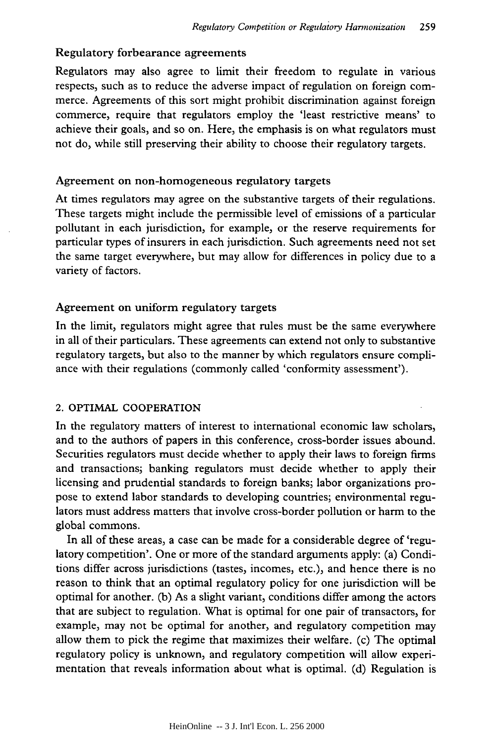# Regulatory forbearance agreements

Regulators may also agree to limit their freedom to regulate in various respects, such as to reduce the adverse impact of regulation on foreign commerce. Agreements of this sort might prohibit discrimination against foreign commerce, require that regulators employ the 'least restrictive means' to achieve their goals, and so on. Here, the emphasis is on what regulators must not do, while still preserving their ability to choose their regulatory targets.

## Agreement on non-homogeneous regulatory targets

At times regulators may agree on the substantive targets of their regulations. These targets might include the permissible level of emissions of a particular pollutant in each jurisdiction, for example, or the reserve requirements for particular types of insurers in each jurisdiction. Such agreements need not set the same target everywhere, but may allow for differences in policy due to a variety of factors.

## Agreement on uniform regulatory targets

In the limit, regulators might agree that rules must be the same everywhere in all of their particulars. These agreements can extend not only to substantive regulatory targets, but also to the manner by which regulators ensure compliance with their regulations (commonly called 'conformity assessment').

#### 2. OPTIMAL COOPERATION

In the regulatory matters of interest to international economic law scholars, and to the authors of papers in this conference, cross-border issues abound. Securities regulators must decide whether to apply their laws to foreign firms and transactions; banking regulators must decide whether to apply their licensing and prudential standards to foreign banks; labor organizations propose to extend labor standards to developing countries; environmental regulators must address matters that involve cross-border pollution or harm to the global commons.

In all of these areas, a case can be made for a considerable degree of 'regulatory competition'. One or more of the standard arguments apply: (a) Conditions differ across jurisdictions (tastes, incomes, etc.), and hence there is no reason to think that an optimal regulatory policy for one jurisdiction will be optimal for another. **(b)** As a slight variant, conditions differ among the actors that are subject to regulation. What is optimal for one pair of transactors, for example, may not be optimal for another, and regulatory competition may allow them to pick the regime that maximizes their welfare. (c) The optimal regulatory policy is unknown, and regulatory competition will allow experimentation that reveals information about what is optimal. **(d)** Regulation is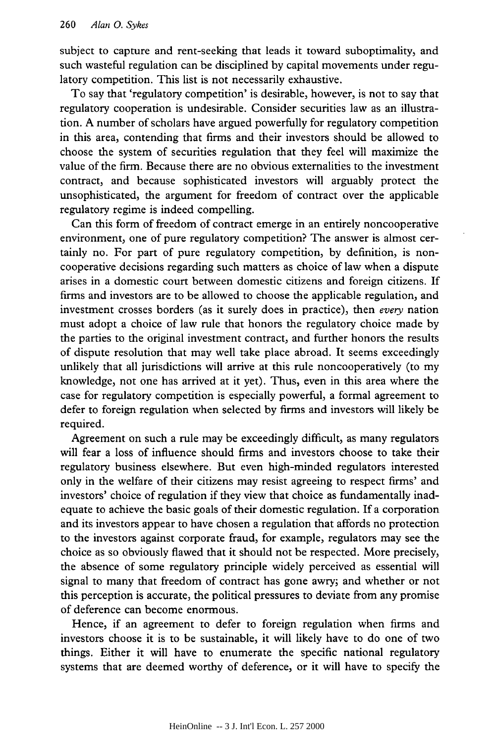subject to capture and rent-seeking that leads it toward suboptimality, and such wasteful regulation can be disciplined by capital movements under regulatory competition. This list is not necessarily exhaustive.

To say that 'regulatory competition' is desirable, however, is not to say that regulatory cooperation is undesirable. Consider securities law as an illustration. A number of scholars have argued powerfully for regulatory competition in this area, contending that firms and their investors should be allowed to choose the system of securities regulation that they feel will maximize the value of the firm. Because there are no obvious externalities to the investment contract, and because sophisticated investors will arguably protect the unsophisticated, the argument for freedom of contract over the applicable regulatory regime is indeed compelling.

Can this form of freedom of contract emerge in an entirely noncooperative environment, one of pure regulatory competition? The answer is almost certainly no. For part of pure regulatory competition, by definition, is noncooperative decisions regarding such matters as choice of law when a dispute arises in a domestic court between domestic citizens and foreign citizens. If firms and investors are to be allowed to choose the applicable regulation, and investment crosses borders (as it surely does in practice), then *every* nation must adopt a choice of law rule that honors the regulatory choice made by the parties to the original investment contract, and further honors the results of dispute resolution that may well take place abroad. It seems exceedingly unlikely that all jurisdictions will arrive at this rule noncooperatively (to my knowledge, not one has arrived at it yet). Thus, even in this area where the case for regulatory competition is especially powerful, a formal agreement to defer to foreign regulation when selected by firms and investors will likely be required.

Agreement on such a rule may be exceedingly difficult, as many regulators will fear a loss of influence should firms and investors choose to take their regulatory business elsewhere. But even high-minded regulators interested only in the welfare of their citizens may resist agreeing to respect firms' and investors' choice of regulation if they view that choice as fundamentally inadequate to achieve the basic goals of their domestic regulation. If a corporation and its investors appear to have chosen a regulation that affords no protection to the investors against corporate fraud, for example, regulators may see the choice as so obviously flawed that it should not be respected. More precisely, the absence of some regulatory principle widely perceived as essential will signal to many that freedom of contract has gone awry; and whether or not this perception is accurate, the political pressures to deviate from any promise of deference can become enormous.

Hence, if an agreement to defer to foreign regulation when firms and investors choose it is to be sustainable, it will likely have to do one of two things. Either it will have to enumerate the specific national regulatory systems that are deemed worthy of deference, or it will have to specify the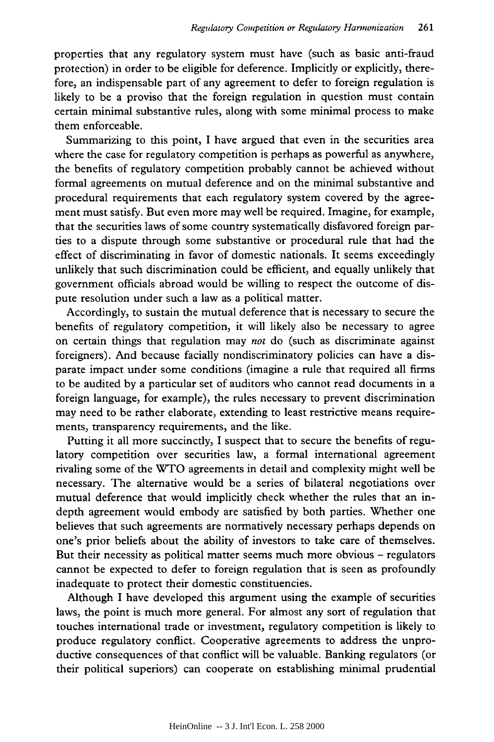properties that any regulatory system must have (such as basic anti-fraud protection) in order to be eligible for deference. Implicitly or explicitly, therefore, an indispensable part of any agreement to defer to foreign regulation is likely to be a proviso that the foreign regulation in question must contain certain minimal substantive rules, along with some minimal process to make them enforceable.

Summarizing to this point, I have argued that even in the securities area where the case for regulatory competition is perhaps as powerful as anywhere, the benefits of regulatory competition probably cannot be achieved without formal agreements on mutual deference and on the minimal substantive and procedural requirements that each regulatory system covered by the agreement must satisfy. But even more may well be required. Imagine, for example, that the securities laws of some country systematically disfavored foreign parties to a dispute through some substantive or procedural rule that had the effect of discriminating in favor of domestic nationals. It seems exceedingly unlikely that such discrimination could be efficient, and equally unlikely that government officials abroad would be willing to respect the outcome of dispute resolution under such a law as a political matter.

Accordingly, to sustain the mutual deference that is necessary to secure the benefits of regulatory competition, it will likely also be necessary to agree on certain things that regulation may *not* do (such as discriminate against foreigners). And because facially nondiscriminatory policies can have a disparate impact under some conditions (imagine a rule that required all firms to be audited by a particular set of auditors who cannot read documents in a foreign language, for example), the rules necessary to prevent discrimination may need to be rather elaborate, extending to least restrictive means requirements, transparency requirements, and the like.

Putting it all more succinctly, I suspect that to secure the benefits of regulatory competition over securities law, a formal international agreement rivaling some of the WTO agreements in detail and complexity might well be necessary. The alternative would be a series of bilateral negotiations over mutual deference that would implicitly check whether the rules that an indepth agreement would embody are satisfied by both parties. Whether one believes that such agreements are normatively necessary perhaps depends on one's prior beliefs about the ability of investors to take care of themselves. But their necessity as political matter seems much more obvious – regulators cannot be expected to defer to foreign regulation that is seen as profoundly inadequate to protect their domestic constituencies.

Although I have developed this argument using the example of securities laws, the point is much more general. For almost any sort of regulation that touches international trade or investment, regulatory competition is likely to produce regulatory conflict. Cooperative agreements to address the unproductive consequences of that conflict will be valuable. Banking regulators (or their political superiors) can cooperate on establishing minimal prudential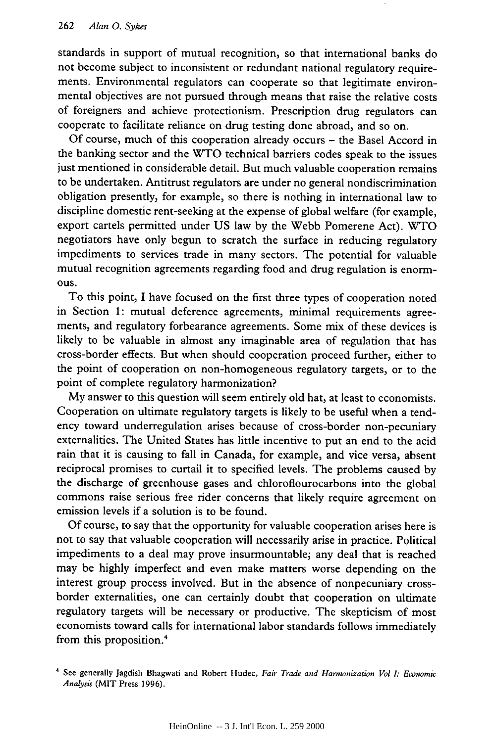standards in support of mutual recognition, so that international banks do not become subject to inconsistent or redundant national regulatory requirements. Environmental regulators can cooperate so that legitimate environmental objectives are not pursued through means that raise the relative costs of foreigners and achieve protectionism. Prescription drug regulators can cooperate to facilitate reliance on drug testing done abroad, and so on.

Of course, much of this cooperation already occurs **-** the Basel Accord in the banking sector and the WTO technical barriers codes speak to the issues just mentioned in considerable detail. But much valuable cooperation remains to be undertaken. Antitrust regulators are under no general nondiscrimination obligation presently, for example, so there is nothing in international law to discipline domestic rent-seeking at the expense of global welfare (for example, export cartels permitted under US law by the Webb Pomerene Act). WTO negotiators have only begun to scratch the surface in reducing regulatory impediments to services trade in many sectors. The potential for valuable mutual recognition agreements regarding food and drug regulation is enormous.

To this point, I have focused on the first three types of cooperation noted in Section 1: mutual deference agreements, minimal requirements agreements, and regulatory forbearance agreements. Some mix of these devices is likely to be valuable in almost any imaginable area of regulation that has cross-border effects. But when should cooperation proceed further, either to the point of cooperation on non-homogeneous regulatory targets, or to the point of complete regulatory harmonization?

My answer to this question will seem entirely old hat, at least to economists. Cooperation on ultimate regulatory targets is likely to be useful when a tendency toward underregulation arises because of cross-border non-pecuniary externalities. The United States has little incentive to put an end to the acid rain that it is causing to fall in Canada, for example, and vice versa, absent reciprocal promises to curtail it to specified levels. The problems caused by the discharge of greenhouse gases and chloroflourocarbons into the global commons raise serious free rider concerns that likely require agreement on emission levels if a solution is to be found.

Of course, to say that the opportunity for valuable cooperation arises here is not to say that valuable cooperation will necessarily arise in practice. Political impediments to a deal may prove insurmountable; any deal that is reached may be highly imperfect and even make matters worse depending on the interest group process involved. But in the absence of nonpecuniary crossborder externalities, one can certainly doubt that cooperation on ultimate regulatory targets will be necessary or productive. The skepticism of most economists toward calls for international labor standards follows immediately from this proposition.<sup>4</sup>

See generally Jagdish Bhagwati and Robert Hudec, *Fair Trade and Harmonization Vol I: Economic Analysis* (MIT Press 1996).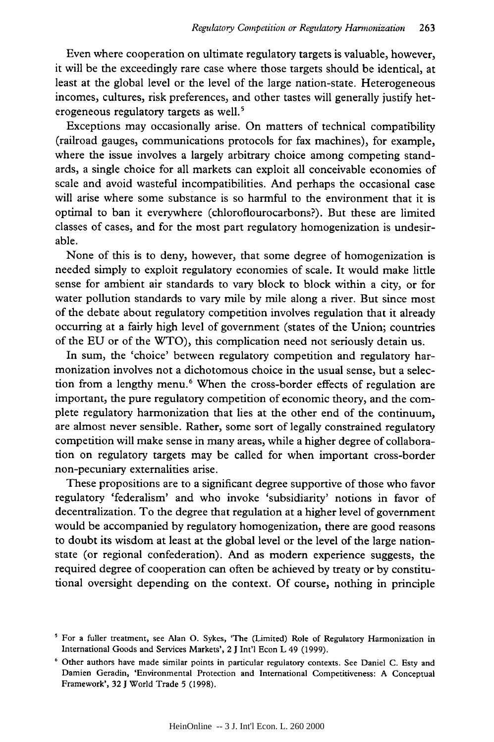Even where cooperation on ultimate regulatory targets is valuable, however, it will be the exceedingly rare case where those targets should be identical, at least at the global level or the level of the large nation-state. Heterogeneous incomes, cultures, risk preferences, and other tastes will generally justify heterogeneous regulatory targets as well.<sup>5</sup>

Exceptions may occasionally arise. On matters of technical compatibility (railroad gauges, communications protocols for fax machines), for example, where the issue involves a largely arbitrary choice among competing standards, a single choice for all markets can exploit all conceivable economies of scale and avoid wasteful incompatibilities. And perhaps the occasional case will arise where some substance is so harmful to the environment that it is optimal to ban it everywhere (chloroflourocarbons?). But these are limited classes of cases, and for the most part regulatory homogenization is undesirable.

None of this is to deny, however, that some degree of homogenization is needed simply to exploit regulatory economies of scale. It would make little sense for ambient air standards to vary block to block within a city, or for water pollution standards to vary mile by mile along a river. But since most of the debate about regulatory competition involves regulation that it already occurring at a fairly high level of government (states of the Union; countries of the EU or of the WTO), this complication need not seriously detain us.

In sum, the 'choice' between regulatory competition and regulatory harmonization involves not a dichotomous choice in the usual sense, but a selection from a lengthy menu.6 When the cross-border effects of regulation are important, the pure regulatory competition of economic theory, and the complete regulatory harmonization that lies at the other end of the continuum, are almost never sensible. Rather, some sort of legally constrained regulatory competition will make sense in many areas, while a higher degree of collaboration on regulatory targets may be called for when important cross-border non-pecuniary externalities arise.

These propositions are to a significant degree supportive of those who favor regulatory 'federalism' and who invoke 'subsidiarity' notions in favor of decentralization. To the degree that regulation at a higher level of government would be accompanied by regulatory homogenization, there are good reasons to doubt its wisdom at least at the global level or the level of the large nationstate (or regional confederation). And as modern experience suggests, the required degree of cooperation can often be achieved by treaty or by constitutional oversight depending on the context. Of course, nothing in principle

For a fuller treatment, see Alan **0.** Sykes, 'The (Limited) Role of Regulatory Harmonization in International Goods and Services Markets', 2 J Int'l Econ L 49 (1999).

Other authors have made similar points in particular regulatory contexts. See Daniel C. Esty and Damien Geradin, 'Environmental Protection and International Competitiveness: A Conceptual Framework', 32 J World Trade **5** (1998).